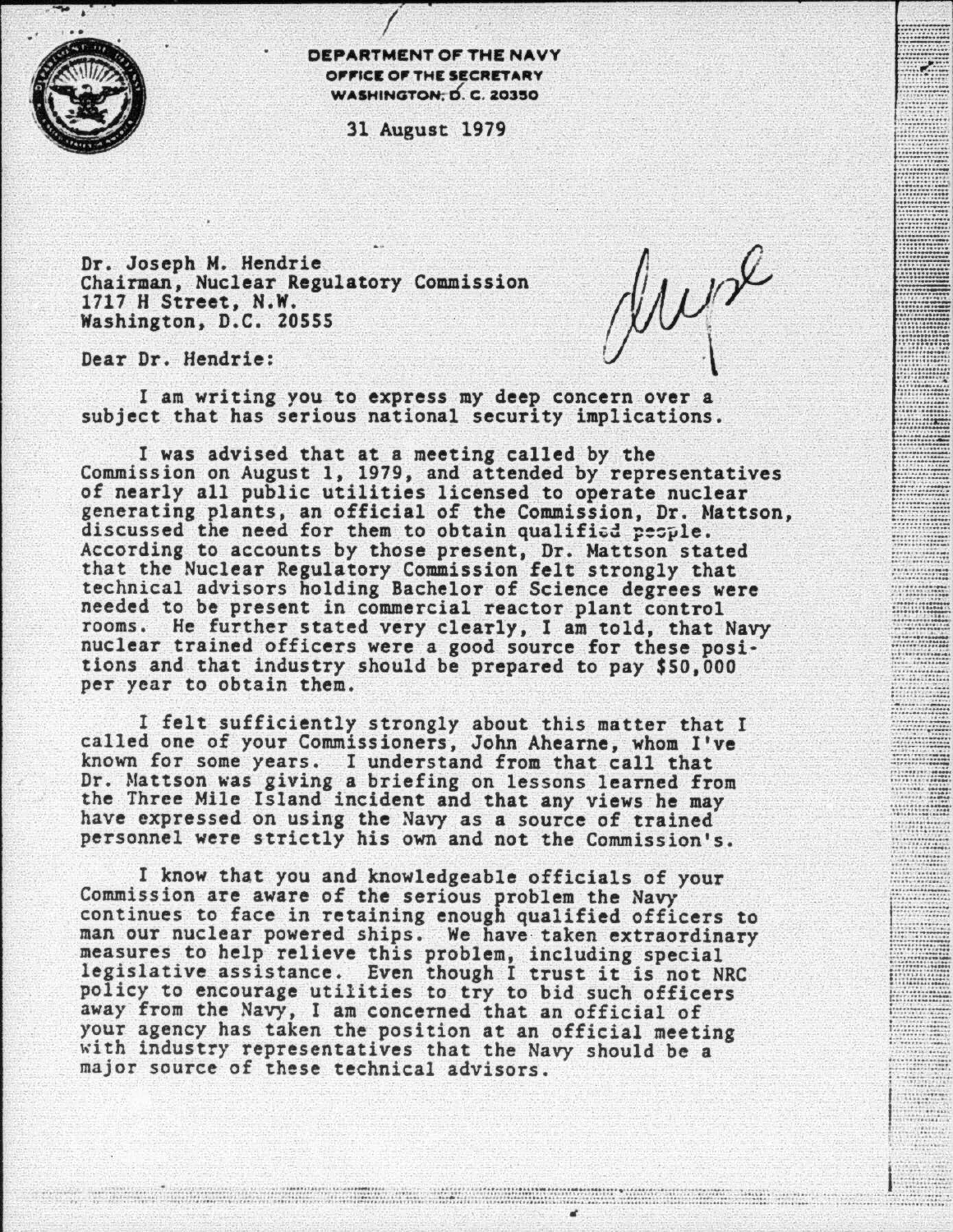

DEPARTMENT Of' THE NAVY OFFICE OF THE SECRETARY WASHINGTON; D. C. 20350

31 August 1979

Dr. Joseph M. Hendrie Chairman, Nuclear Regulatory Commission 1717 H Street, N.W. Washington, D.C. 20SSS

*rVAu#*   $\mathcal{Y}^{\mathbf{v}}$ 

............ \_.

\*\*\*\*\*\*\*\*\*\*\*\*\*<br>\*\*\*\*\*\*\*\*\*\*\*\*\*\* \*\*\*\*\*\*\*\*\*\*\*<br>\*\*\*\*\*\*\*\*\*\*\*\*\*\*\*\*

. . . . . . . . . .

......... --------------

......... \_

............ -.. . ·.······ .... .. ,\_...\_ ... . ·•oo-u-••• - ••·•-••--• - ···-·····--· -·-···-·- -: ::::::·:.~:;;: I~;~~~~~~

 $...............$ 

........... ~= ~~f.:§ · • \_···\_ u ···· ou • ·•• ··- ·• --·-••• ,, ...... \_\_ \_ ...............

|<br>|<br>|

 $\frac{1}{2}$ 

Dear Dr. Hendrie:

I am writing you to express my deep concern over a subject that has serious national security implications.

I was advised that at a meeting called by the<br>Commission on August 1, 1979, and attended by representatives of nearly all public utilities licensed to operate nuclear generating plants, an official of the Commission, Dr. Mattson, discussed the need for them to obtain qualified people. According to accounts by those present, Dr. Mattson stated that the Nuclear Regulatory Commission felt strongly that technical advisors holding Bachelor of Science degrees were needed to be present in commercial reactor plant control rooms. He further stated very clearly, I am told, that Navy nuclear trained officers were a good source for these posi· tions and that industry should be prepared to pay \$50,000 per year to obtain them.

I felt sufficiently strongly about this matter that I called one of your Commissioners, John Ahearne, whom I've known for some years. I understand from that call that Dr. Mattson was giving a briefing on lessons learned from the Three Mile Island incident and that any views he may have expressed on using the Navy as a source of trained personnel were strictly his own and not the Commission's.

I know that you and knowledgeable officials of your Commission are aware of the serious problem the Navy continues to face in retaining enough qualified officers to man our nuclear powered ships. We have taken extraordinary measures to help relieve this problem, including special legislative assistance. Even though I trust it is not NRC policy to encourage utilities to try to bid such officers away from the Navy, I am concerned that an official of your agency has taken the position at an official meeting with industry representatives that the Navy should be a major source of these technical advisors.

a se proporcional de la constitución de la constitución de la constitución de la constitución de la constitució